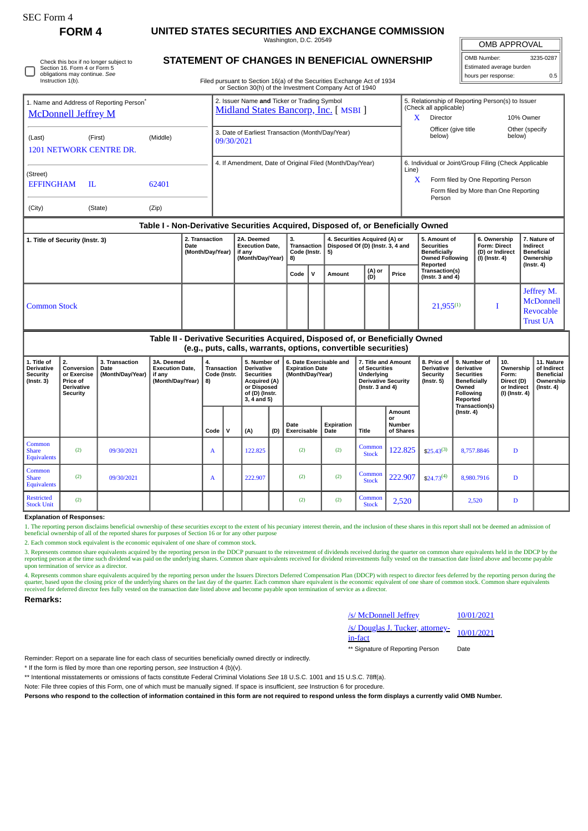| rorm |  |
|------|--|
|------|--|

## **FORM 4 UNITED STATES SECURITIES AND EXCHANGE COMMISSION**

Washington, D.C. 20549

OMB APPROVAL

 $\parallel$ 

| OMB Number:              | 3235-0287 |  |  |  |  |  |
|--------------------------|-----------|--|--|--|--|--|
| Estimated average burden |           |  |  |  |  |  |
| hours per response:      | 0.5       |  |  |  |  |  |

Check this box if no longer subject to Section 16. Form 4 or Form 5 obligations may continue. *See* Instruction 1(b).

## **STATEMENT OF CHANGES IN BENEFICIAL OWNERSHIP**

Filed pursuant to Section 16(a) of the Securities Exchange Act of 1934 or Section 30(h) of the Investment Company Act of 1940

| <b>McDonnell Jeffrey M</b>                                                                        | 1. Name and Address of Reporting Person <sup>®</sup> |          |            | 2. Issuer Name and Ticker or Trading Symbol<br>Midland States Bancorp, Inc. [ MSBI ] |    |                                                                                 | x                                                     | 5. Relationship of Reporting Person(s) to Issuer<br>(Check all applicable)<br>Director |                                       | 10% Owner                 |  |
|---------------------------------------------------------------------------------------------------|------------------------------------------------------|----------|------------|--------------------------------------------------------------------------------------|----|---------------------------------------------------------------------------------|-------------------------------------------------------|----------------------------------------------------------------------------------------|---------------------------------------|---------------------------|--|
| (Last)<br><b>1201 NETWORK CENTRE DR.</b>                                                          | (First)                                              | (Middle) | 09/30/2021 | 3. Date of Earliest Transaction (Month/Day/Year)                                     |    |                                                                                 |                                                       | Officer (give title<br>below)                                                          |                                       | Other (specify)<br>below) |  |
|                                                                                                   |                                                      |          |            | 4. If Amendment, Date of Original Filed (Month/Day/Year)                             |    |                                                                                 | 6. Individual or Joint/Group Filing (Check Applicable |                                                                                        |                                       |                           |  |
| (Street)<br><b>EFFINGHAM</b>                                                                      | H.                                                   | 62401    |            |                                                                                      |    |                                                                                 | Line)<br>X                                            | Form filed by One Reporting Person<br>Person                                           | Form filed by More than One Reporting |                           |  |
| (City)                                                                                            | (State)                                              | (Zip)    |            |                                                                                      |    |                                                                                 |                                                       |                                                                                        |                                       |                           |  |
| Table I - Non-Derivative Securities Acquired, Disposed of, or Beneficially Owned                  |                                                      |          |            |                                                                                      |    |                                                                                 |                                                       |                                                                                        |                                       |                           |  |
| 2. Transaction<br>1. Title of Security (Instr. 3)<br>2A. Deemed<br>Date<br><b>Execution Date,</b> |                                                      |          |            |                                                                                      | 3. | 4. Securities Acquired (A) or<br>Transaction   Disposed Of (D) (Instr. 3, 4 and |                                                       | 5. Amount of<br><b>Securities</b>                                                      | 6. Ownership<br><b>Form: Direct</b>   | 7. Nature of<br>Indirect  |  |

|                     | (Month/Day/Year)   if any | (Month/Day/Year) | Code (Instr.  <br>8) |              | 5)     |               |       | <b>Beneficially</b><br><b>Owned Following</b><br>Reported | (D) or Indirect<br>(I) (Instr. 4) | <b>Beneficial</b><br>Ownership<br>$($ lnstr. 4 $)$      |  |
|---------------------|---------------------------|------------------|----------------------|--------------|--------|---------------|-------|-----------------------------------------------------------|-----------------------------------|---------------------------------------------------------|--|
|                     |                           |                  | Code                 | $\mathbf{v}$ | Amount | (A) or<br>(D) | Price | Transaction(s)<br>(Instr. $3$ and $4$ )                   |                                   |                                                         |  |
| <b>Common Stock</b> |                           |                  |                      |              |        |               |       | $21,955^{(1)}$                                            |                                   | Jeffrey M.<br>McDonnell<br>Revocable<br><b>Trust UA</b> |  |

## **Table II - Derivative Securities Acquired, Disposed of, or Beneficially Owned (e.g., puts, calls, warrants, options, convertible securities)**

| 1. Title of<br>Derivative<br><b>Security</b><br>(Instr. 3) | 2.<br>Conversion<br>or Exercise<br>Price of<br><b>Derivative</b><br>Security | 3. Transaction<br>Date<br>(Month/Day/Year) | 3A. Deemed<br><b>Execution Date.</b><br>if any<br>(Month/Day/Year) | 4.<br><b>Transaction</b><br>Code (Instr.<br>8) |              | 5. Number of<br><b>Derivative</b><br><b>Securities</b><br>Acquired (A)<br>or Disposed<br>of (D) (Instr.<br>$3, 4$ and $5)$ |     |                            |                    | 6. Date Exercisable and<br><b>Expiration Date</b><br>(Month/Day/Year) |                                            | 7. Title and Amount<br>of Securities<br>Underlying<br><b>Derivative Security</b><br>( $lnstr. 3 and 4$ ) |                  |   |  |  |  | 8. Price of<br><b>Derivative</b><br><b>Security</b><br>(Instr. 5) | 9. Number of<br>derivative<br><b>Securities</b><br><b>Beneficially</b><br>Owned<br><b>Following</b><br>Reported<br>Transaction(s) | 10.<br>Ownership<br>Form:<br>Direct (D)<br>or Indirect<br>(I) (Instr. 4) | 11. Nature<br>of Indirect<br><b>Beneficial</b><br>Ownership<br>(Instr. 4) |
|------------------------------------------------------------|------------------------------------------------------------------------------|--------------------------------------------|--------------------------------------------------------------------|------------------------------------------------|--------------|----------------------------------------------------------------------------------------------------------------------------|-----|----------------------------|--------------------|-----------------------------------------------------------------------|--------------------------------------------|----------------------------------------------------------------------------------------------------------|------------------|---|--|--|--|-------------------------------------------------------------------|-----------------------------------------------------------------------------------------------------------------------------------|--------------------------------------------------------------------------|---------------------------------------------------------------------------|
|                                                            |                                                                              |                                            |                                                                    | Code                                           | $\mathbf{v}$ | (A)                                                                                                                        | (D) | Date<br><b>Exercisable</b> | Expiration<br>Date | <b>Title</b>                                                          | Amount<br>or<br><b>Number</b><br>of Shares |                                                                                                          | $($ Instr. 4 $)$ |   |  |  |  |                                                                   |                                                                                                                                   |                                                                          |                                                                           |
| Common<br><b>Share</b><br><b>Equivalents</b>               | (2)                                                                          | 09/30/2021                                 |                                                                    | A                                              |              | 122.825                                                                                                                    |     | (2)                        | (2)                | Common<br><b>Stock</b>                                                | 122.825                                    | $$25.43^{(3)}$                                                                                           | 8,757.8846       | D |  |  |  |                                                                   |                                                                                                                                   |                                                                          |                                                                           |
| Common<br><b>Share</b><br>Equivalents                      | (2)                                                                          | 09/30/2021                                 |                                                                    | A                                              |              | 222.907                                                                                                                    |     | (2)                        | (2)                | Common<br><b>Stock</b>                                                | 222.907                                    | $$24.73^{(4)}$                                                                                           | 8,980.7916       | D |  |  |  |                                                                   |                                                                                                                                   |                                                                          |                                                                           |
| Restricted<br><b>Stock Unit</b>                            | (2)                                                                          |                                            |                                                                    |                                                |              |                                                                                                                            |     | (2)                        | (2)                | Common<br><b>Stock</b>                                                | 2,520                                      |                                                                                                          | 2,520            | D |  |  |  |                                                                   |                                                                                                                                   |                                                                          |                                                                           |

**Explanation of Responses:**

1. The reporting person disclaims beneficial ownership of these securities except to the extent of his pecuniary interest therein, and the inclusion of these shares in this report shall not be deemed an admission of beneficial ownership of all of the reported shares for purposes of Section 16 or for any other purpose

2. Each common stock equivalent is the economic equivalent of one share of common stock.

3. Represents common share equivalents acquired by the reporting person in the DDCP pursuant to the reinvestment of dividends received during the quarter on common share equivalents held in the DDCP by the<br>reporting person upon termination of service as a director.

4. Represents common share equivalents acquired by the reporting person under the Issuers Directors Deferred Compensation Plan (DDCP) with respect to director fees deferred by the reporting person during the reporting pers

**Remarks:**

| /s/ McDonnell Jeffrey                                     | 10/01/2021 |
|-----------------------------------------------------------|------------|
| /s/ Douglas J. Tucker, attorney-<br>10/01/2021<br>in-fact |            |

\*\* Signature of Reporting Person Date

Reminder: Report on a separate line for each class of securities beneficially owned directly or indirectly.

\* If the form is filed by more than one reporting person, *see* Instruction 4 (b)(v).

\*\* Intentional misstatements or omissions of facts constitute Federal Criminal Violations *See* 18 U.S.C. 1001 and 15 U.S.C. 78ff(a).

Note: File three copies of this Form, one of which must be manually signed. If space is insufficient, *see* Instruction 6 for procedure.

**Persons who respond to the collection of information contained in this form are not required to respond unless the form displays a currently valid OMB Number.**